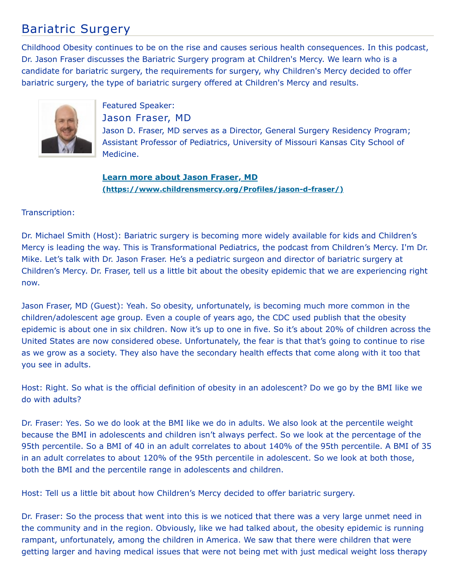## Bariatric Surgery

Childhood Obesity continues to be on the rise and causes serious health consequences. In this podcast, Dr. Jason Fraser discusses the Bariatric Surgery program at Children's Mercy. We learn who is a candidate for bariatric surgery, the requirements for surgery, why Children's Mercy decided to offer bariatric surgery, the type of bariatric surgery offered at Children's Mercy and results.



Featured Speaker: Jason Fraser, MD

Jason D. Fraser, MD serves as a Director, General Surgery Residency Program; Assistant Professor of Pediatrics, University of Missouri Kansas City School of Medicine.

**Learn more about Jason Fraser, MD [\(https://www.childrensmercy.org/Profiles/jason-d-fraser/\)](https://www.childrensmercy.org/Profiles/jason-d-fraser/)**

## Transcription:

Dr. Michael Smith (Host): Bariatric surgery is becoming more widely available for kids and Children's Mercy is leading the way. This is Transformational Pediatrics, the podcast from Children's Mercy. I'm Dr. Mike. Let's talk with Dr. Jason Fraser. He's a pediatric surgeon and director of bariatric surgery at Children's Mercy. Dr. Fraser, tell us a little bit about the obesity epidemic that we are experiencing right now.

Jason Fraser, MD (Guest): Yeah. So obesity, unfortunately, is becoming much more common in the children/adolescent age group. Even a couple of years ago, the CDC used publish that the obesity epidemic is about one in six children. Now it's up to one in five. So it's about 20% of children across the United States are now considered obese. Unfortunately, the fear is that that's going to continue to rise as we grow as a society. They also have the secondary health effects that come along with it too that you see in adults.

Host: Right. So what is the official definition of obesity in an adolescent? Do we go by the BMI like we do with adults?

Dr. Fraser: Yes. So we do look at the BMI like we do in adults. We also look at the percentile weight because the BMI in adolescents and children isn't always perfect. So we look at the percentage of the 95th percentile. So a BMI of 40 in an adult correlates to about 140% of the 95th percentile. A BMI of 35 in an adult correlates to about 120% of the 95th percentile in adolescent. So we look at both those, both the BMI and the percentile range in adolescents and children.

Host: Tell us a little bit about how Children's Mercy decided to offer bariatric surgery.

Dr. Fraser: So the process that went into this is we noticed that there was a very large unmet need in the community and in the region. Obviously, like we had talked about, the obesity epidemic is running rampant, unfortunately, among the children in America. We saw that there were children that were getting larger and having medical issues that were not being met with just medical weight loss therapy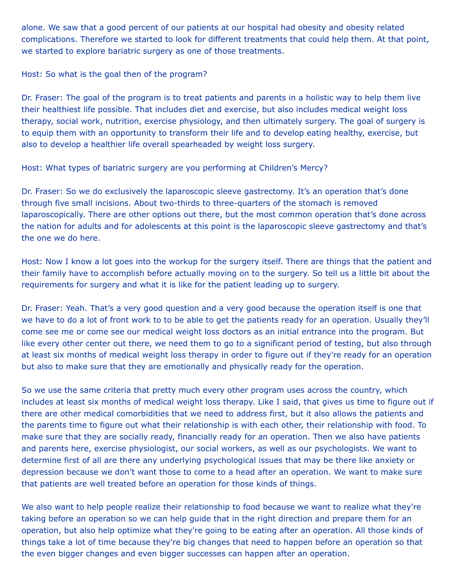alone. We saw that a good percent of our patients at our hospital had obesity and obesity related complications. Therefore we started to look for different treatments that could help them. At that point, we started to explore bariatric surgery as one of those treatments.

Host: So what is the goal then of the program?

Dr. Fraser: The goal of the program is to treat patients and parents in a holistic way to help them live their healthiest life possible. That includes diet and exercise, but also includes medical weight loss therapy, social work, nutrition, exercise physiology, and then ultimately surgery. The goal of surgery is to equip them with an opportunity to transform their life and to develop eating healthy, exercise, but also to develop a healthier life overall spearheaded by weight loss surgery.

Host: What types of bariatric surgery are you performing at Children's Mercy?

Dr. Fraser: So we do exclusively the laparoscopic sleeve gastrectomy. It's an operation that's done through five small incisions. About two-thirds to three-quarters of the stomach is removed laparoscopically. There are other options out there, but the most common operation that's done across the nation for adults and for adolescents at this point is the laparoscopic sleeve gastrectomy and that's the one we do here.

Host: Now I know a lot goes into the workup for the surgery itself. There are things that the patient and their family have to accomplish before actually moving on to the surgery. So tell us a little bit about the requirements for surgery and what it is like for the patient leading up to surgery.

Dr. Fraser: Yeah. That's a very good question and a very good because the operation itself is one that we have to do a lot of front work to to be able to get the patients ready for an operation. Usually they'll come see me or come see our medical weight loss doctors as an initial entrance into the program. But like every other center out there, we need them to go to a significant period of testing, but also through at least six months of medical weight loss therapy in order to figure out if they're ready for an operation but also to make sure that they are emotionally and physically ready for the operation.

So we use the same criteria that pretty much every other program uses across the country, which includes at least six months of medical weight loss therapy. Like I said, that gives us time to figure out if there are other medical comorbidities that we need to address first, but it also allows the patients and the parents time to figure out what their relationship is with each other, their relationship with food. To make sure that they are socially ready, financially ready for an operation. Then we also have patients and parents here, exercise physiologist, our social workers, as well as our psychologists. We want to determine first of all are there any underlying psychological issues that may be there like anxiety or depression because we don't want those to come to a head after an operation. We want to make sure that patients are well treated before an operation for those kinds of things.

We also want to help people realize their relationship to food because we want to realize what they're taking before an operation so we can help guide that in the right direction and prepare them for an operation, but also help optimize what they're going to be eating after an operation. All those kinds of things take a lot of time because they're big changes that need to happen before an operation so that the even bigger changes and even bigger successes can happen after an operation.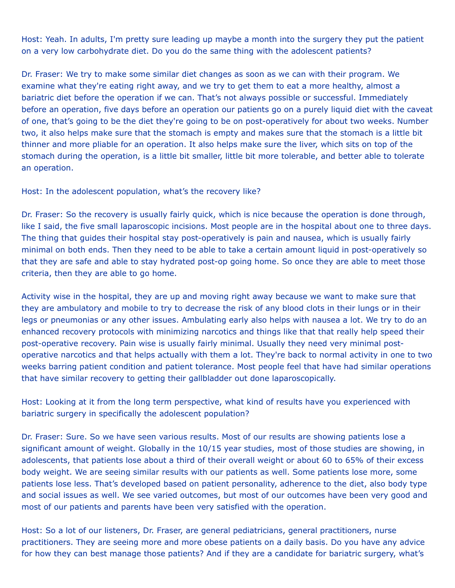Host: Yeah. In adults, I'm pretty sure leading up maybe a month into the surgery they put the patient on a very low carbohydrate diet. Do you do the same thing with the adolescent patients?

Dr. Fraser: We try to make some similar diet changes as soon as we can with their program. We examine what they're eating right away, and we try to get them to eat a more healthy, almost a bariatric diet before the operation if we can. That's not always possible or successful. Immediately before an operation, five days before an operation our patients go on a purely liquid diet with the caveat of one, that's going to be the diet they're going to be on post-operatively for about two weeks. Number two, it also helps make sure that the stomach is empty and makes sure that the stomach is a little bit thinner and more pliable for an operation. It also helps make sure the liver, which sits on top of the stomach during the operation, is a little bit smaller, little bit more tolerable, and better able to tolerate an operation.

Host: In the adolescent population, what's the recovery like?

Dr. Fraser: So the recovery is usually fairly quick, which is nice because the operation is done through, like I said, the five small laparoscopic incisions. Most people are in the hospital about one to three days. The thing that guides their hospital stay post-operatively is pain and nausea, which is usually fairly minimal on both ends. Then they need to be able to take a certain amount liquid in post-operatively so that they are safe and able to stay hydrated post-op going home. So once they are able to meet those criteria, then they are able to go home.

Activity wise in the hospital, they are up and moving right away because we want to make sure that they are ambulatory and mobile to try to decrease the risk of any blood clots in their lungs or in their legs or pneumonias or any other issues. Ambulating early also helps with nausea a lot. We try to do an enhanced recovery protocols with minimizing narcotics and things like that that really help speed their post-operative recovery. Pain wise is usually fairly minimal. Usually they need very minimal postoperative narcotics and that helps actually with them a lot. They're back to normal activity in one to two weeks barring patient condition and patient tolerance. Most people feel that have had similar operations that have similar recovery to getting their gallbladder out done laparoscopically.

Host: Looking at it from the long term perspective, what kind of results have you experienced with bariatric surgery in specifically the adolescent population?

Dr. Fraser: Sure. So we have seen various results. Most of our results are showing patients lose a significant amount of weight. Globally in the 10/15 year studies, most of those studies are showing, in adolescents, that patients lose about a third of their overall weight or about 60 to 65% of their excess body weight. We are seeing similar results with our patients as well. Some patients lose more, some patients lose less. That's developed based on patient personality, adherence to the diet, also body type and social issues as well. We see varied outcomes, but most of our outcomes have been very good and most of our patients and parents have been very satisfied with the operation.

Host: So a lot of our listeners, Dr. Fraser, are general pediatricians, general practitioners, nurse practitioners. They are seeing more and more obese patients on a daily basis. Do you have any advice for how they can best manage those patients? And if they are a candidate for bariatric surgery, what's